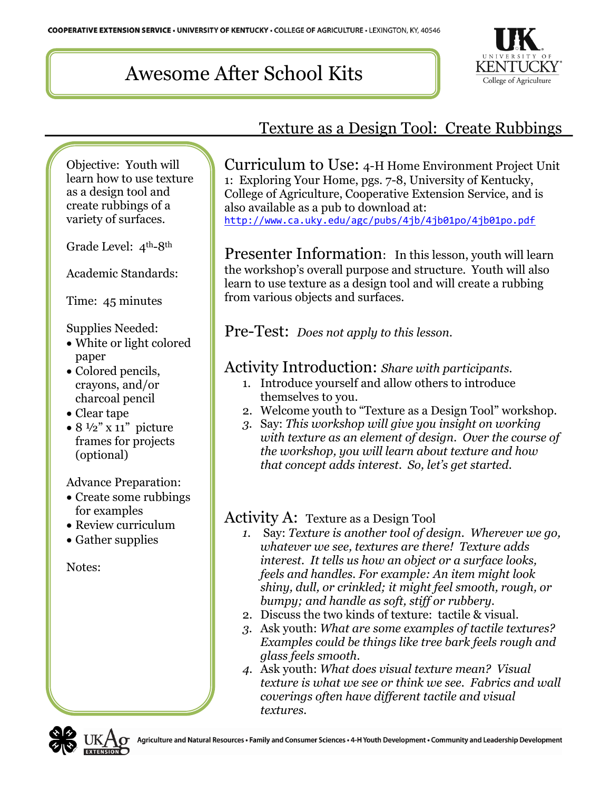# Awesome After School Kits



### Texture as a Design Tool: Create Rubbings

Objective: Youth will learn how to use texture as a design tool and create rubbings of a variety of surfaces.

Grade Level: 4th-8th

Academic Standards:

Time: 45 minutes

Supplies Needed:

- White or light colored paper
- Colored pencils, crayons, and/or charcoal pencil
- Clear tape
- $8 \frac{1}{2}$ " x 11" picture frames for projects (optional)

Advance Preparation:

- Create some rubbings for examples
- Review curriculum
- Gather supplies

Notes:

Curriculum to Use: 4-H Home Environment Project Unit 1: Exploring Your Home, pgs. 7-8, University of Kentucky, College of Agriculture, Cooperative Extension Service, and is also available as a pub to download at: <http://www.ca.uky.edu/agc/pubs/4jb/4jb01po/4jb01po.pdf>

Presenter Information: In this lesson, youth will learn the workshop's overall purpose and structure. Youth will also learn to use texture as a design tool and will create a rubbing from various objects and surfaces.

Pre-Test: *Does not apply to this lesson.*

#### Activity Introduction: *Share with participants.*

- 1. Introduce yourself and allow others to introduce themselves to you.
- 2. Welcome youth to "Texture as a Design Tool" workshop.
- *3.* Say: *This workshop will give you insight on working with texture as an element of design. Over the course of the workshop, you will learn about texture and how that concept adds interest. So, let's get started.*

#### Activity A: Texture as a Design Tool

- *1.* Say: *Texture is another tool of design. Wherever we go, whatever we see, textures are there! Texture adds interest. It tells us how an object or a surface looks, feels and handles. For example: An item might look shiny, dull, or crinkled; it might feel smooth, rough, or bumpy; and handle as soft, stiff or rubbery.*
- 2. Discuss the two kinds of texture: tactile & visual.
- *3.* Ask youth: *What are some examples of tactile textures? Examples could be things like tree bark feels rough and glass feels smooth.*
- *4.* Ask youth: *What does visual texture mean? Visual texture is what we see or think we see. Fabrics and wall coverings often have different tactile and visual textures.*

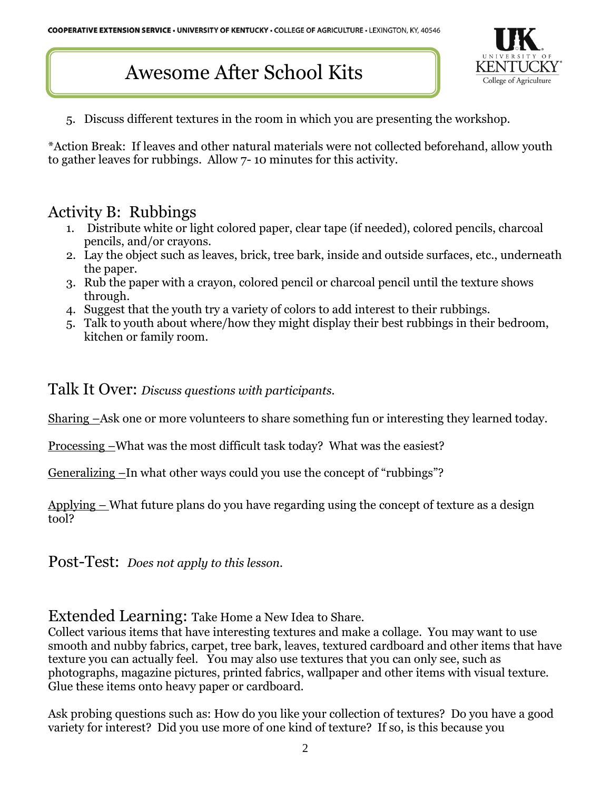## Awesome After School Kits



5. Discuss different textures in the room in which you are presenting the workshop.

\*Action Break: If leaves and other natural materials were not collected beforehand, allow youth to gather leaves for rubbings. Allow 7- 10 minutes for this activity.

#### Activity B: Rubbings

- 1. Distribute white or light colored paper, clear tape (if needed), colored pencils, charcoal pencils, and/or crayons.
- 2. Lay the object such as leaves, brick, tree bark, inside and outside surfaces, etc., underneath the paper.
- 3. Rub the paper with a crayon, colored pencil or charcoal pencil until the texture shows through.
- 4. Suggest that the youth try a variety of colors to add interest to their rubbings.
- 5. Talk to youth about where/how they might display their best rubbings in their bedroom, kitchen or family room.

Talk It Over: *Discuss questions with participants.*

Sharing –Ask one or more volunteers to share something fun or interesting they learned today.

Processing –What was the most difficult task today? What was the easiest?

Generalizing –In what other ways could you use the concept of "rubbings"?

Applying – What future plans do you have regarding using the concept of texture as a design tool?

Post-Test: *Does not apply to this lesson.*

Extended Learning: Take Home a New Idea to Share.

Collect various items that have interesting textures and make a collage. You may want to use smooth and nubby fabrics, carpet, tree bark, leaves, textured cardboard and other items that have texture you can actually feel. You may also use textures that you can only see, such as photographs, magazine pictures, printed fabrics, wallpaper and other items with visual texture. Glue these items onto heavy paper or cardboard.

Ask probing questions such as: How do you like your collection of textures? Do you have a good variety for interest? Did you use more of one kind of texture? If so, is this because you